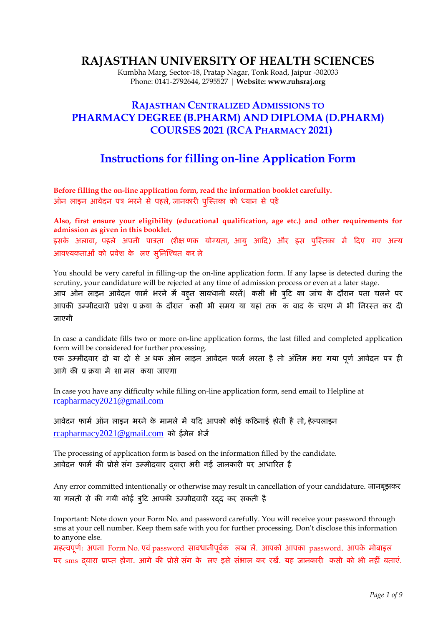## **RAJASTHAN UNIVERSITY OF HEALTH SCIENCES**

Kumbha Marg, Sector-18, Pratap Nagar, Tonk Road, Jaipur -302033 Phone: 0141-2792644, 2795527 | **Website: www.ruhsraj.org** 

## **RAJASTHAN CENTRALIZED ADMISSIONS TO PHARMACY DEGREE (B.PHARM) AND DIPLOMA (D.PHARM) COURSES 2021 (RCA PHARMACY 2021)**

# **Instructions for filling on-line Application Form**

**Before filling the on-line application form, read the information booklet carefully. ऑन लाइन आवेदन पत्र भरने से पहले, जानकारी पुस्तिका को ध्यान से पढ़ें**

**Also, first ensure your eligibility (educational qualification, age etc.) and other requirements for admission as given in this booklet.**

**इसके अलावा, पहले अपनी पात्रिा (शैक्षणिक योग्यिा, आयु आदद) और इस पुस्तिका म़ें ददए गए अन्य आवश्यकिाओं को प्रवेश के ललए सुननस्श्िि कर ले** 

You should be very careful in filling-up the on-line application form. If any lapse is detected during the scrutiny, your candidature will be rejected at any time of admission process or even at a later stage.

**आप ऑन लाइन आवेदन फामम भरने म़ें बहुि सावधानी बरि़ें| ककसी भी त्रुदि का जांि के दौरान पिा िलने पर आपकी उम्मीदवारी प्रवेश प्रकिया के दौरान ककसी भी समय या यहां िक कक बाद के िरि म़ें भी ननरति कर दी जाएगी** 

In case a candidate fills two or more on-line application forms, the last filled and completed application form will be considered for further processing.

एक उम्मीदवार दो या दो से अधक ऑन लाइन आवेदन फार्म भरता है तो अंतिम भरा गया पूर्ण आवेदन पत्र ही **आगे की प्रकिया म़ें शालमल ककया जाएगा**

In case you have any difficulty while filling on-line application form, send email to Helpline at [rcapharmacy2021@gmail.com](mailto:rcapharmacy2021@gmail.com)

**आवेदन फामम ऑन लाइन भरने के मामले म़ें यदद आपको कोई कदिनाई होिी है िो, हेल्पलाइन** [rcapharmacy2021@gmail.com](mailto:rcapharmacy2021@gmail.com) **को ईमेल भेज़ें**

The processing of application form is based on the information filled by the candidate. **आवेदन फामम की प्रोसेलस ंग उम्मीदवार द्वारा भरी गई जानकारी पर आधाररि है**

Any error committed intentionally or otherwise may result in cancellation of your candidature. **जानबूझकर या गलिी से की गयी कोई त्रुदि आपकी उम्मीदवारी रद्द कर सकिी है** 

Important: Note down your Form No. and password carefully. You will receive your password through sms at your cell number. Keep them safe with you for further processing. Don't disclose this information to anyone else.

**महत्वपूि:म अपना** Form No. **एवं**password **सावधानीपूवकम लख ल़ें. आपको आपका** password**, आपके मोबाइल पर** sms **द्वारा प्राप्ि होगा. आगे की प्रोसेलस ंग के ललए इसे संभाल कर रख़ें. यह जानकारी ककसी को भी नहीं बिाएं.**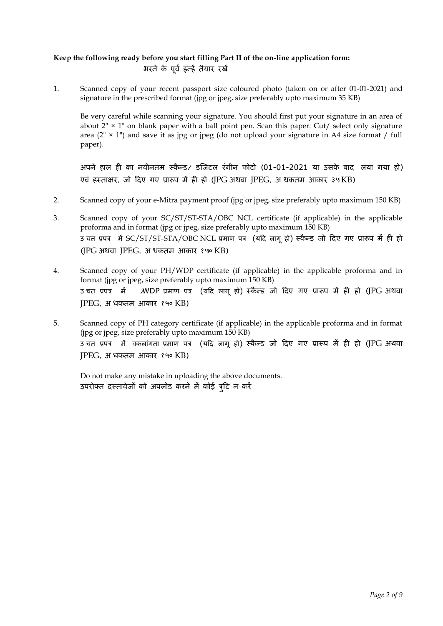### **Keep the following ready before you start filling Part II of the on-line application form: A pplication form P art II भरने के पूवम इन्ह़ें िैयार रख़ें**

1. Scanned copy of your recent passport size coloured photo (taken on or after 01-01-2021) and signature in the prescribed format (jpg or jpeg, size preferably upto maximum 35 KB)

Be very careful while scanning your signature. You should first put your signature in an area of about  $2'' \times 1''$  on blank paper with a ball point pen. Scan this paper. Cut/ select only signature area  $(2<sup>n</sup> \times 1<sup>n</sup>)$  and save it as jpg or jpeg (do not upload your signature in A4 size format / full paper).

**अपने हाल ही का नवीनिम तकै न्ड/ डडस्जिल रंगीन फोिो (**01-01-2021 **या उसके बाद ललया गया हो) एवं हतिाक्षर, जो ददए गए प्रारूप म़ें ही हो (**JPG **अथवा** JPEG**, अधधकिम आकार ३५**KB**)** 

- 2. Scanned copy of your e-Mitra payment proof (jpg or jpeg, size preferably upto maximum 150 KB)
- 3. Scanned copy of your SC/ST/ST-STA/OBC NCL certificate (if applicable) in the applicable proforma and in format (jpg or jpeg, size preferably upto maximum 150 KB) **उधिि प्रपत्र म़ें** SC/ST/ST-STA/OBC NCL **प्रमाि पत्र** (**यदद लागूहो**) **तकै न्ड जो ददए गए प्रारूप म़ें ही हो (**JPG **अथवा** JPEG**, अधधकिम आकार १५०** KB**)**
- 4. Scanned copy of your PH/WDP certificate (if applicable) in the applicable proforma and in format (jpg or jpeg, size preferably upto maximum 150 KB) **उधिि प्रपत्र म़ें P H /**WDP **प्रमाि पत्र** (**यदद लागू हो**) **तकै न्ड जो ददए गए प्रारूप म़ें ही हो (**JPG **अथवा**  JPEG**, अधधकिम आकार १५०** KB**)**
- 5. Scanned copy of PH category certificate (if applicable) in the applicable proforma and in format (jpg or jpeg, size preferably upto maximum 150 KB) **उधिि प्रपत्र म़ें ववकलांगिा प्रमाि पत्र** (**यदद लागू हो**) **तकै न्ड जो ददए गए प्रारूप म़ें ही हो (**JPG **अथवा**  JPEG**, अधधकिम आकार १५०** KB**)**

Do not make any mistake in uploading the above documents. **उपरोक्ि दतिावेजों को अपलोड करने म़ें कोई त्रुदि न कऱें**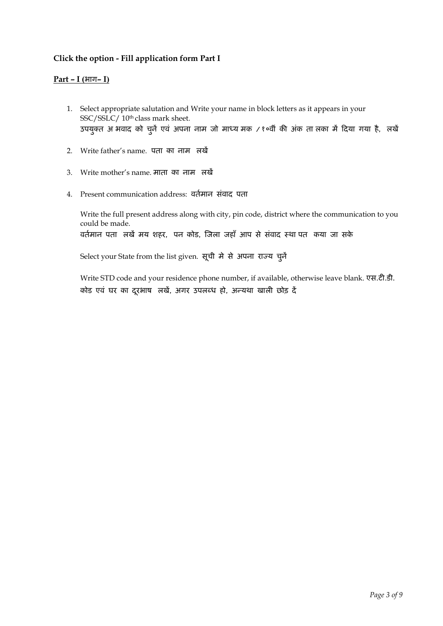## **Click the option - Fill application form Part I**

### **Part – I (भाग– I)**

- 1. Select appropriate salutation and Write your name in block letters as it appears in your SSC/SSLC/ 10th class mark sheet. **उपयुक्ि अ भवाद को िुऩें एवं अपना नाम जो माध्य मक / १०वीं की अंक िाललका म़ें ददया गया है, ललख़ें**
- 2. Write father's name. **वपिा का नाम ललख़ें**
- 3. Write mother's name. **मािा का नाम ललख़ें**
- 4. Present communication address: **विममान संवाद पिा**

Write the full present address along with city, pin code, district where the communication to you could be made. **विममान पिा ललख़ें मय शहर, वपन कोड, स्जला जहााँ आप से संवाद तथावपि ककया जा सके**

Select your State from the list given. **सूिी मे से अपना राज्य िुऩें**

Write STD code and your residence phone number, if available, otherwise leave blank. **एस.िी.डी. कोड एवं घर का दरूभाष ललख़ें, अगर उपलब्ध हो, अन्यथा खाली छोड़ द़ें**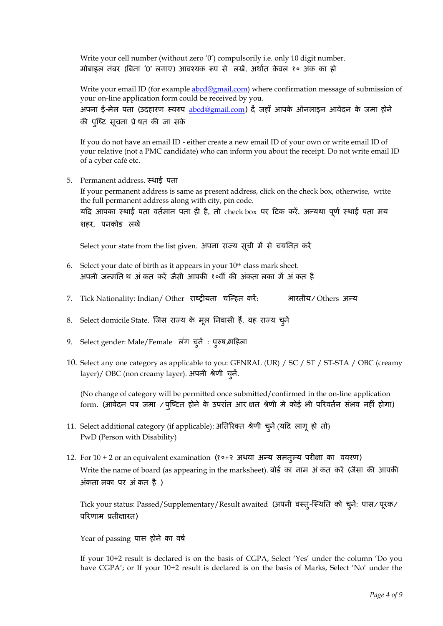Write your cell number (without zero '0') compulsorily i.e. only 10 digit number. **मोबाइल नंबर (बबना '0' लगाए) आवश्यक रूप से ललख़ें, अथामि के वल १० अंक का हो**

Write your email ID (for example [abcd@gmail.com\)](mailto:abcd@gmail.com) where confirmation message of submission of your on-line application form could be received by you. **अपना ई-मेल पिा (उदहारि तवरुप** [abcd@gmail.com](mailto:abcd@gmail.com)**) द़ें जहााँ आपके ऑनलाइन आवेदन के जमा होने की पुस्टि सूिना प्रेषि की जा सके**

If you do not have an email ID - either create a new email ID of your own or write email ID of your relative (not a PMC candidate) who can inform you about the receipt. Do not write email ID of a cyber café etc.

5. Permanent address. **तथाई पिा** If your permanent address is same as present address, click on the check box, otherwise, write the full permanent address along with city, pin code. **यदद आपका तथाई पिा विममान पिा ही है, िो** check box **पर दिक कऱें. अन्यथा पूिम तथाई पिा मय शहर, वपनकोड ललख़ें**

Select your state from the list given. **अपना राज्य सूिी म़ें से ियननि कऱें**

- 6. Select your date of birth as it appears in your  $10<sup>th</sup>$  class mark sheet. **अपनी जन्मनिधथ अंककि कऱें जैसी आपकी १०वीं की अंकिाललका म़ें अंककि है**
- 7. Tick Nationality: Indian/ Other **राटरीयिा धिस्न्हि कऱें: Indian भारिीय/** Others **अन्य**
- 8. Select domicile State. **स्जस राज्य के मूल ननवासी हैं, वह राज्य िुऩें**
- 9. Select gender: Male/Female **लगं िुऩें : पुरुष/मदहला**
- 10. Select any one category as applicable to you: GENRAL (UR) / SC / ST / ST-STA / OBC (creamy layer)/ OBC (non creamy layer). **अपनी श्रेिी िुऩें.**

(No change of category will be permitted once submitted/confirmed in the on-line application form**. (आवेदन पत्र जमा / पस्ुटिि होने के उपरांि आर क्षि श्रेिी मे कोई भी पररविनम संभव नहीं होगा)**

- 11. Select additional category (if applicable): **अनिररक्ि श्रेिी िुऩें**(**यदद लागू हो िो**) PwD (Person with Disability)
- 12. For 10 + 2 or an equivalent examination **(१०+२ अथवा अन्य समिुल्य परीक्षा का ववरि)** Write the name of board (as appearing in the marksheet). **बोडम का नाम अंककि कऱें (जैसा की आपकी अंकिाललका पर अंककि है )**

Tick your status: Passed/Supplementary/Result awaited **(अपनी वतिु-स्तथनि को िुऩें**: **पास/ पूरक/ पररिाम प्रिीक्षारि)**

Year of passing पास होने का वर्ष

If your 10+2 result is declared is on the basis of CGPA, Select 'Yes' under the column 'Do you have CGPA'; or If your 10+2 result is declared is on the basis of Marks, Select 'No' under the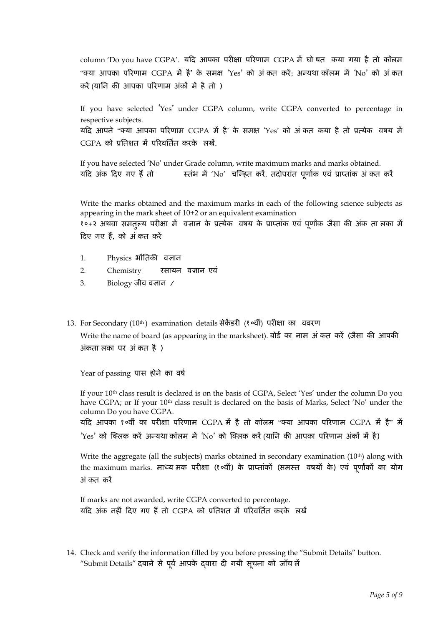column 'Do you have CGPA'. **यदद आपका परीक्षा पररिाम** CGPA **म़ें घोवषि ककया गया है िो कॉलम**  "**क्या आपका पररिाम** CGPA **म़ें है' के समक्ष '**Yes**' को अंककि कऱें; अन्यथा कॉलम म़ें '**No**' को अंककि कऱें**(**यानन की आपका पररिाम अंकों म़ें है िो )** 

If you have selected **'**Yes**'** under CGPA column, write CGPA converted to percentage in respective subjects.

**यदद आपने** "**क्या आपका पररिाम** CGPA **म़ें है' के समक्ष '**Yes**' को अंककि ककया है िो प्रत्येक ववषय म़ें**  CGPA **को प्रनिशि म़ें पररवनिमि करके ललख़ें.**

If you have selected 'No' under Grade column, write maximum marks and marks obtained. **यदद अंक ददए गए हैं िो C G P A तिंभ म़ें** 'No' **िस्न्हि कऱें, िदोपरांि पूिाांक एवं प्राप्िांक अं कि कऱें**

Write the marks obtained and the maximum marks in each of the following science subjects as appearing in the mark sheet of 10+2 or an equivalent examination

**१०+२ अथवा समिुल्य परीक्षा म़ें वज्ञान के प्रत्येक वषय के प्राप्िांक एवं पूिाांक जैसा की अंक िा लका म़ें ददए गए हैं, को अंककि कऱें** 

- 1. Physics **भौनिकी ववज्ञान**
- 2. Chemistry **and रसायन ववज्ञान एवं**
- 3. Biology **जीवववज्ञान / M athem atics**
- 13. For Secondary (10th ) examination details **सेक़ें डरी** (**१०वीं**) **परीक्षा का वववरि**

Write the name of board (as appearing in the marksheet). **बोडम का नाम अंककि कऱें (जैसा की आपकी अंकिाललका पर अंककि है )**

Year of passing पास होने का वर्ष

If your 10th class result is declared is on the basis of CGPA, Select 'Yes' under the column Do you have CGPA; or If your 10<sup>th</sup> class result is declared on the basis of Marks, Select 'No' under the column Do you have CGPA.

```
यदद आपका १०वीं का परीक्षा पररिाम CGPA म़ें है िो कॉलम "क्या आपका पररिाम CGPA म़ें है" म़ें 
'Yes' को स्क्लक कऱें अन्यथा कॉलम म़ें 'No' को स्क्लक कऱें(यानन की आपका पररिाम अंकों म़ें है)
```
Write the aggregate (all the subjects) marks obtained in secondary examination (10<sup>th</sup>) along with the maximum marks. **माध्यलमक परीक्षा (१०वीं) के प्राप्िांकों (समति वषयों के) एवं पूिाांकों का योग अंककि कऱें**

If marks are not awarded, write CGPA converted to percentage. **यदद अंक नहीं ददए गए हैं िो** CGPA **को प्रनिशि म़ें पररवनिमि करके ललख़ें**

14. Check and verify the information filled by you before pressing the "Submit Details" button. "Submit Details" **दबाने से पवू म आपके द्वारा दी गयी सूिना को जााँि ल़ें**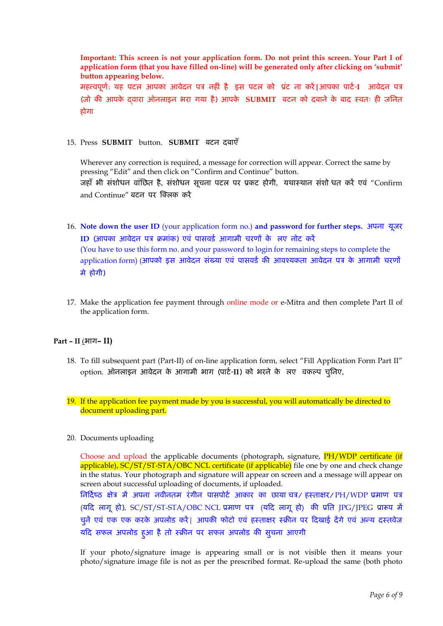**Important: This screen is not your application form. Do not print this screen. Your Part I of application form (that you have filled on-line) will be generated only after clicking on 'submit' button appearing below.**

**महत्त्वपूि: यह पिल आपका आवेदन पत्र नहीं है म I इस पिल को वप्र ंि ना कऱें|आपका पािम-I आवेदन पत्र (जो की आपके द्वारा ऑनलाइन भरा गया है) आपके SUBMIT" बिन को दबाने के बाद तविः ही जननि होगा** 

15. Press **SUBMIT** button. **SUBMIT बिन दबाएाँ** 

Wherever any correction is required, a message for correction will appear. Correct the same by pressing "Edit" and then click on "Confirm and Continue" button. **जहााँभी संशोधन वांनछि है, संशोधन सूिना पिल पर प्रकि होगी, यथातथान संशोधधि कऱें एवं** "Confirm and Continue" **बिन पर स्क्लक कऱें**

- 16. **Note down the user ID** (your application form no.) **and password for further steps. अपना यूजर ID (आपका आवेदन पत्र िमांक) एवं पासवडम आगामी िरिों के ललए नोि कऱें** (You have to use this form no. and your password to login for remaining steps to complete the application form) (**आपको इस आवेदन संख्या एवं पासवडम की आवश्यकिा आवेदन पत्र के आगामी िरिों मे होगी)**
- 17. Make the application fee payment through online mode or e-Mitra and then complete Part II of the application form.

#### **Part – II** (**भाग– II)**

- 18. To fill subsequent part (Part-II) of on-line application form, select "Fill Application Form Part II" option. **ऑनलाइन आवेदन के आगामी भाग (पािम-II) को भरने के लए वकल्प िुननए,**
- 19. If the application fee payment made by you is successful, you will automatically be directed to document uploading part.
- 20. Documents uploading

Choose and upload the applicable documents (photograph, signature, PH/WDP certificate (if applicable), SC/ST/ST-STA/OBC NCL certificate (if applicable) file one by one and check change in the status. Your photograph and signature will appear on screen and a message will appear on screen about successful uploading of documents, if uploaded.

**ननददमटि क्षेत्र म़ें अपना नवीनिम रंगीन पासपोिम आकार का छायाधित्र/ हतिाक्षर/**PH/WDP **प्रमाि पत्र**  (**यदद लागूहो),** SC/ST/ST-STA/OBC NCL **प्रमाि पत्र** (**यदद लागूहो**) **की प्रनि** JPG/JPEG **प्रारूप म़ें िुऩें एवं एक एक करके अपलोड कऱें**| **आपकी फोिो एवं हतिाक्षर तिीन पर ददखाई द़ेंगे एवं अन्य दतिवेज यदद सफल अपलोड हुआ हैिो तिीन पर सफल अपलोड की सुिना आएगी**

If your photo/signature image is appearing small or is not visible then it means your photo/signature image file is not as per the prescribed format. Re-upload the same (both photo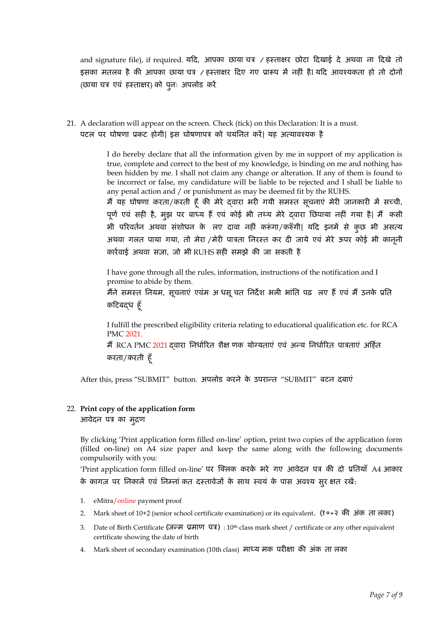and signature file), if required. यदि, आपका छाया चत्र / हस्ताक्षर छोटा दिखाई दे अथवा ना दिखे तो इसका मतलब है की आपका छाया चत्र / हस्ताक्षर दिए गए प्रारूप में नहीं हैl यदि आवश्यकता हो तो दोनों (**छायाधित्र एवं हतिाक्षर**) **को पनु ः अपलोड कऱें**

21. A declaration will appear on the screen. Check (tick) on this Declaration: It is a must. **पिल पर घोषिा प्रकि होगी| इस घोषिापत्र को ियननि कऱें| यह अत्यावश्यक है** 

> I do hereby declare that all the information given by me in support of my application is true, complete and correct to the best of my knowledge, is binding on me and nothing has been hidden by me. I shall not claim any change or alteration. If any of them is found to be incorrect or false, my candidature will be liable to be rejected and I shall be liable to any penal action and / or punishment as may be deemed fit by the RUHS.

> **मैं यह घोषिा करिा**/**करिी हूाँ की मेरे द्वारा भरी गयी समति सूिनाएं मेरी जानकारी म़ें सच्िी, पूिम एवं सही है**, **मुझ पर बाध्य हैंएवं कोई भी िथ्य मेरे द्वारा नछपाया नहीं गया है| मैंककसी भी पररविमन अथवा संशोधन के ललए दावा नहीं करूं गा**/**करुाँगी| यदद इनम़ें से कुछ भी असत्य अथवा गलि पाया गया, िो मेरा** /**मेरी पात्रिा ननरति कर दी जाये एवं मेरे ऊपर कोई भी कानूनी कारमवाई अथवा सज़ा, जो भी** RUHS **सही समझे की जा सकिी है**

I have gone through all the rules, information, instructions of the notification and I promise to abide by them. **मनैं े समति ननयम, सूिनाएं एवंम अ धसूिि ननदेश भली भांनि पढ लए हैंएवं मैंउनके प्रनि कदिबद्ध हूाँ**

I fulfill the prescribed eligibility criteria relating to educational qualification etc. for RCA PMC 2021.

**मैं** RCA PMC 2021 **द्वारा ननधामररि शैक्षणिक योग्यिाएं एवं अन्य ननधामररि पात्रिाएं अदहमि करिा**/**करिी हूाँ**

After this, press "SUBMIT" button. **अपलोड करने के उपरान्ि** "SUBMIT" **बिन दबाएं** 

## 22. **Print copy of the application form आवेदन पत्र का मुद्रि**

By clicking 'Print application form filled on-line' option, print two copies of the application form (filled on-line) on A4 size paper and keep the same along with the following documents compulsorily with you:

'Print application form filled on-line' **पर स्क्लक करके भरे गए आवेदन पत्र की दो प्रनियााँ** A4 **आकार के कागज़ पर ननकाल़ें एवं ननम्नां कि दतिावेजों के साथ तवयं के पास अवश्य सुर क्षि रख़ें:**

- 1. eMitra/online payment proof
- 2. Mark sheet of 10+2 (senior school certificate examination) or its equivalent**. (१०+२ की अंक िाललका)**
- 3. Date of Birth Certificate **(जन्म प्रमाि पत्र)** : 10th class mark sheet / certificate or any other equivalent certificate showing the date of birth
- 4. Mark sheet of secondary examination (10th class) **माध्यलमक परीक्षा की अंक िाललका**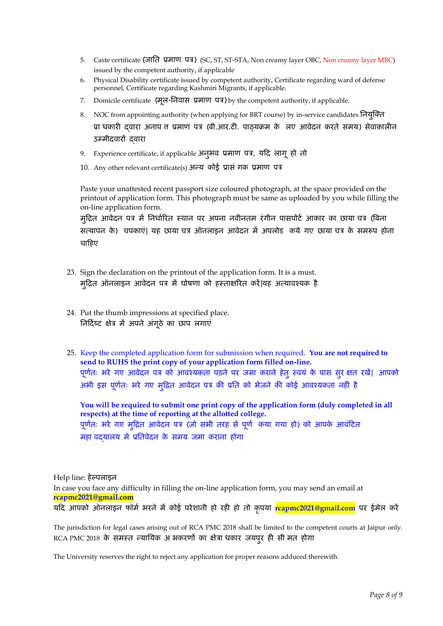- 5. Caste certificate **(जानि प्रमाि पत्र)** (SC, ST, ST-STA, Non creamy layer OBC, Non creamy layer MBC) issued by the competent authority, if applicable
- 6. Physical Disability certificate issued by competent authority, Certificate regarding ward of defense personnel, Certificate regarding Kashmiri Migrants, if applicable.
- 7. Domicile certificate **(मूल-ननवास प्रमाि पत्र)** by the competent authority, if applicable.
- 8. NOC from appointing authority (when applying for BRT course) by in-service candidates **ननयुस्क्ि प्राधधकारी द्वारा अनापवि प्रमाि पत्र (बी.आर.िी. पाठ्यिम के ललए आवेदन करिे समय) सेवाकालीन उम्मीदवारों द्वारा**
- 9. Experience certificate, if applicable **अनुभव प्रमाि पत्र, यदद लागूहो िो**
- 10. Any other relevant certificate(s) **अन्य कोई प्रासंधगक प्रमाि पत्र**

Paste your unattested recent passport size coloured photograph, at the space provided on the printout of application form. This photograph must be same as uploaded by you while filling the on-line application form.

**मुदद्रि आवेदन पत्र म़ें ननधामररि तथान पर अपना नवीनिम रंगीन पासपोिम आकार का छायाधित्र (बबना सत्यापन के ) धिपकाएं| यह छायाधित्र ऑनलाइन आवेदन म़ें अपलोड ककये गए छायाधित्र के समरूप होना िादहए**

- 23. Sign the declaration on the printout of the application form. It is a must. **मुदद्रि ऑनलाइन आवेदन पत्र म़ें घोषिा को हतिाक्षररि कऱें|यह अत्यावश्यक है**
- 24. Put the thumb impressions at specified place. **ननददमटि क्षेत्र म़ें अपने अंगूिे का छाप लगाएं**
- 25. Keep the completed application form for submission when required. **You are not required to send to RUHS the print copy of your application form filled on-line.** पूर्णतः भरे गए आवेदन पत्र को आवश्यकता पड़ने पर जमा कराने हेत् स्वयं के पास सूर क्षत रखें| आपको **अभी इस पूििम ः भरे गए मुदद्रि आवेदन पत्र की प्रनि को भेजने की कोई आवश्यकिा नहीं है**

**You will be required to submit one print copy of the application form (duly completed in all respects) at the time of reporting at the allotted college. पूििम ः भरे गए मुदद्रि आवेदन पत्र (जो सभी िरह से पूिम कया गया हो) को आपके आवंदिि महाववद्यालय मे प्रनिवेदन के समय जमा कराना होगा**

Help line: **हेल्पलाइन**  In case you face any difficulty in filling the on-line application form, you may send an email at **rcapmc2021@gmail.com यदद आपको ऑनलाइन फॉमम भरने म़ें कोई परेशानी हो रही हो िो कृपया rcapmc2021@gmail.com पर ईमेल कऱें**

The jurisdiction for legal cases arising out of RCA PMC 2018 shall be limited to the competent courts at Jaipur only. RCA PMC 2018 **के समति न्यानयक अलभकरिों का क्षेत्रा धकार जयपुर ही सी मि होगा**

The University reserves the right to reject any application for proper reasons adduced therewith.